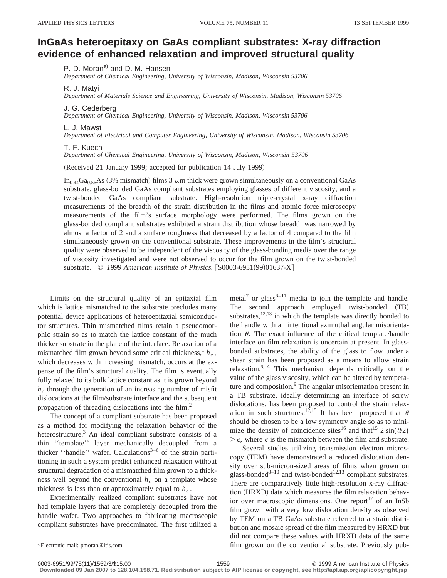## **InGaAs heteroepitaxy on GaAs compliant substrates: X-ray diffraction evidence of enhanced relaxation and improved structural quality**

P. D. Moran<sup>a)</sup> and D. M. Hansen

*Department of Chemical Engineering, University of Wisconsin, Madison, Wisconsin 53706*

R. J. Matyi

*Department of Materials Science and Engineering, University of Wisconsin, Madison, Wisconsin 53706*

J. G. Cederberg

*Department of Chemical Engineering, University of Wisconsin, Madison, Wisconsin 53706*

L. J. Mawst

*Department of Electrical and Computer Engineering, University of Wisconsin, Madison, Wisconsin 53706*

## T. F. Kuech

*Department of Chemical Engineering, University of Wisconsin, Madison, Wisconsin 53706*

(Received 21 January 1999; accepted for publication 14 July 1999)

In<sub>0.44</sub>Ga<sub>0.56</sub>As (3% mismatch) films 3  $\mu$ m thick were grown simultaneously on a conventional GaAs substrate, glass-bonded GaAs compliant substrates employing glasses of different viscosity, and a twist-bonded GaAs compliant substrate. High-resolution triple-crystal x-ray diffraction measurements of the breadth of the strain distribution in the films and atomic force microscopy measurements of the film's surface morphology were performed. The films grown on the glass-bonded compliant substrates exhibited a strain distribution whose breadth was narrowed by almost a factor of 2 and a surface roughness that decreased by a factor of 4 compared to the film simultaneously grown on the conventional substrate. These improvements in the film's structural quality were observed to be independent of the viscosity of the glass-bonding media over the range of viscosity investigated and were not observed to occur for the film grown on the twist-bonded substrate. © 1999 American Institute of Physics. [S0003-6951(99)01637-X]

Limits on the structural quality of an epitaxial film which is lattice mismatched to the substrate precludes many potential device applications of heteroepitaxial semiconductor structures. Thin mismatched films retain a pseudomorphic strain so as to match the lattice constant of the much thicker substrate in the plane of the interface. Relaxation of a mismatched film grown beyond some critical thickness,  $h_c$ , which decreases with increasing mismatch, occurs at the expense of the film's structural quality. The film is eventually fully relaxed to its bulk lattice constant as it is grown beyond  $h_c$  through the generation of an increasing number of misfit dislocations at the film/substrate interface and the subsequent propagation of threading dislocations into the film.2

The concept of a compliant substrate has been proposed as a method for modifying the relaxation behavior of the heterostructure.<sup>3</sup> An ideal compliant substrate consists of a thin ''template'' layer mechanically decoupled from a thicker "handle" wafer. Calculations<sup>3-6</sup> of the strain partitioning in such a system predict enhanced relaxation without structural degradation of a mismatched film grown to a thickness well beyond the conventional  $h_c$  on a template whose thickness is less than or approximately equal to  $h_c$ .

Experimentally realized compliant substrates have not had template layers that are completely decoupled from the handle wafer. Two approaches to fabricating macroscopic compliant substrates have predominated. The first utilized a

 $metal^7$  or glass<sup>8-11</sup> media to join the template and handle. The second approach employed twist-bonded (TB) substrates, $12,13$  in which the template was directly bonded to the handle with an intentional azimuthal angular misorientation  $\theta$ . The exact influence of the critical template/handle interface on film relaxation is uncertain at present. In glassbonded substrates, the ability of the glass to flow under a shear strain has been proposed as a means to allow strain relaxation.<sup>9,14</sup> This mechanism depends critically on the value of the glass viscosity, which can be altered by temperature and composition.<sup>9</sup> The angular misorientation present in a TB substrate, ideally determining an interface of screw dislocations, has been proposed to control the strain relaxation in such structures.<sup>12,15</sup> It has been proposed that  $\theta$ should be chosen to be a low symmetry angle so as to minimize the density of coincidence sites<sup>16</sup> and that<sup>15</sup> 2 sin( $\theta$ /2)  $\geq \epsilon$ , where  $\epsilon$  is the mismatch between the film and substrate.

Several studies utilizing transmission electron microscopy (TEM) have demonstrated a reduced dislocation density over sub-micron-sized areas of films when grown on glass-bonded<sup>8–10</sup> and twist-bonded<sup>12,13</sup> compliant substrates. There are comparatively little high-resolution x-ray diffraction (HRXD) data which measures the film relaxation behavior over macroscopic dimensions. One report $17$  of an InSb film grown with a very low dislocation density as observed by TEM on a TB GaAs substrate referred to a strain distribution and mosaic spread of the film measured by HRXD but did not compare these values with HRXD data of the same film grown on the conventional substrate. Previously pub-

Electronic mail: pmoran@itis.com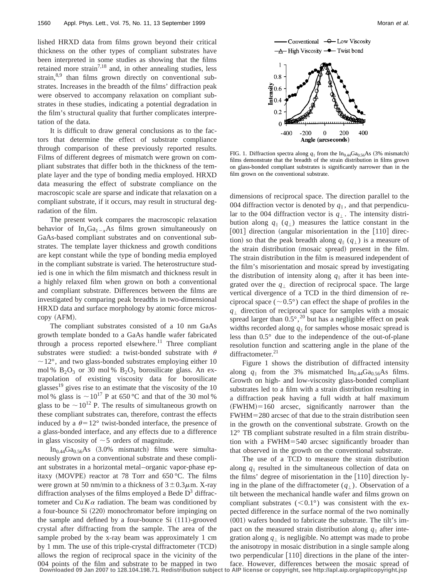lished HRXD data from films grown beyond their critical thickness on the other types of compliant substrates have been interpreted in some studies as showing that the films retained more strain<sup>7,18</sup> and, in other annealing studies, less strain, $8,9$  than films grown directly on conventional substrates. Increases in the breadth of the films' diffraction peak were observed to accompany relaxation on compliant substrates in these studies, indicating a potential degradation in the film's structural quality that further complicates interpretation of the data.

It is difficult to draw general conclusions as to the factors that determine the effect of substrate compliance through comparison of these previously reported results. Films of different degrees of mismatch were grown on compliant substrates that differ both in the thickness of the template layer and the type of bonding media employed. HRXD data measuring the effect of substrate compliance on the macroscopic scale are sparse and indicate that relaxation on a compliant substrate, if it occurs, may result in structural degradation of the film.

The present work compares the macroscopic relaxation behavior of  $In_xGa_{1-x}As$  films grown simultaneously on GaAs-based compliant substrates and on conventional substrates. The template layer thickness and growth conditions are kept constant while the type of bonding media employed in the compliant substrate is varied. The heterostructure studied is one in which the film mismatch and thickness result in a highly relaxed film when grown on both a conventional and compliant substrate. Differences between the films are investigated by comparing peak breadths in two-dimensional HRXD data and surface morphology by atomic force micros $copy (AFM).$ 

The compliant substrates consisted of a 10 nm GaAs growth template bonded to a GaAs handle wafer fabricated through a process reported elsewhere.<sup>11</sup> Three compliant substrates were studied: a twist-bonded substrate with  $\theta$  $\sim$  12°, and two glass-bonded substrates employing either 10 mol %  $B_2O_3$  or 30 mol %  $B_2O_3$  borosilicate glass. An extrapolation of existing viscosity data for borosilicate glasses<sup>19</sup> gives rise to an estimate that the viscosity of the 10 mol % glass is  $\sim 10^{17}$  P at 650 °C and that of the 30 mol % glass to be  $\sim 10^{12}$  P. The results of simultaneous growth on these compliant substrates can, therefore, contrast the effects induced by a  $\theta$ =12° twist-bonded interface, the presence of a glass-bonded interface, and any effects due to a difference in glass viscosity of  $\sim$  5 orders of magnitude.

 $In<sub>0.44</sub>Ga<sub>0.56</sub>As$  (3.0% mismatch) films were simultaneously grown on a conventional substrate and these compliant substrates in a horizontal metal–organic vapor-phase epitaxy (MOVPE) reactor at 78 Torr and  $650^{\circ}$ C. The films were grown at 50 nm/min to a thickness of  $3 \pm 0.3 \mu$ m. X-ray diffraction analyses of the films employed a Bede  $D<sup>3</sup>$  diffractometer and  $Cu K\alpha$  radiation. The beam was conditioned by a four-bounce Si (220) monochromator before impinging on the sample and defined by a four-bounce  $Si (111)$ -grooved crystal after diffracting from the sample. The area of the sample probed by the x-ray beam was approximately 1 cm by 1 mm. The use of this triple-crystal diffractometer  $(TCD)$ allows the region of reciprocal space in the vicinity of the 004 points of the film and substrate to be mapped in two



FIG. 1. Diffraction spectra along  $q_{\parallel}$  from the In<sub>0.44</sub>Ga<sub>0.56</sub>As (3% mismatch) films demonstrate that the breadth of the strain distribution in films grown on glass-bonded compliant substrates is significantly narrower than in the film grown on the conventional substrate.

dimensions of reciprocal space. The direction parallel to the 004 diffraction vector is denoted by  $q_{\parallel}$ , and that perpendicular to the 004 diffraction vector is  $q_{\perp}$ . The intensity distribution along  $q_{\parallel}$  ( $q_{\perp}$ ) measures the lattice constant in the  $[001]$  direction (angular misorientation in the  $[110]$  direction) so that the peak breadth along  $q_{\parallel}(q_{\perp})$  is a measure of the strain distribution (mosaic spread) present in the film. The strain distribution in the film is measured independent of the film's misorientation and mosaic spread by investigating the distribution of intensity along  $q_{\parallel}$  after it has been integrated over the  $q_{\perp}$  direction of reciprocal space. The large vertical divergence of a TCD in the third dimension of reciprocal space ( $\sim 0.5^{\circ}$ ) can effect the shape of profiles in the  $q_{\perp}$  direction of reciprocal space for samples with a mosaic spread larger than  $0.5^{\circ}$ ,<sup>20</sup> but has a negligible effect on peak widths recorded along  $q_{\parallel}$  for samples whose mosaic spread is less than 0.5° due to the independence of the out-of-plane resolution function and scattering angle in the plane of the diffractometer.<sup>21</sup>

Figure 1 shows the distribution of diffracted intensity along  $q_{\parallel}$  from the 3% mismatched In<sub>0.44</sub>Ga<sub>0.56</sub>As films. Growth on high- and low-viscosity glass-bonded compliant substrates led to a film with a strain distribution resulting in a diffraction peak having a full width at half maximum  $(FWHM)=160$  arcsec, significantly narrower than the  $FWHM = 280$  arcsec of that due to the strain distribution seen in the growth on the conventional substrate. Growth on the 12° TB compliant substrate resulted in a film strain distribution with a FWHM=540 arcsec significantly broader than that observed in the growth on the conventional substrate.

The use of a TCD to measure the strain distribution along  $q_{\parallel}$  resulted in the simultaneous collection of data on the films' degree of misorientation in the  $[110]$  direction lying in the plane of the diffractometer  $(q_+)$ . Observation of a tilt between the mechanical handle wafer and films grown on compliant substrates  $(<0.1^{\circ})$  was consistent with the expected difference in the surface normal of the two nominally  $(001)$  wafers bonded to fabricate the substrate. The tilt's impact on the measured strain distribution along  $q_{\parallel}$  after integration along  $q_{\perp}$  is negligible. No attempt was made to probe the anisotropy in mosaic distribution in a single sample along two perpendicular  $[110]$  directions in the plane of the interface. However, differences between the mosaic spread of

**Downloaded 09 Jan 2007 to 128.104.198.71. Redistribution subject to AIP license or copyright, see http://apl.aip.org/apl/copyright.jsp**